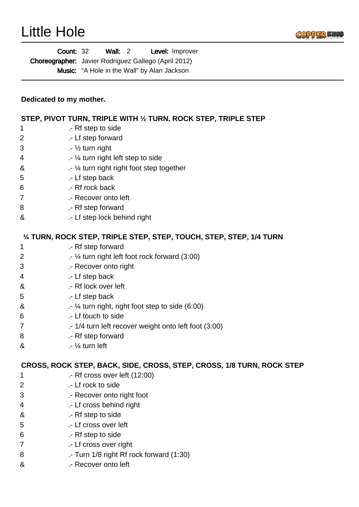

|                                                                       | Wall: $2$<br>Level: Improver<br><b>Count: 32</b><br>Choreographer: Javier Rodriguez Gallego (April 2012)<br>Music: "A Hole in the Wall" by Alan Jackson |  |  |
|-----------------------------------------------------------------------|---------------------------------------------------------------------------------------------------------------------------------------------------------|--|--|
| Dedicated to my mother.                                               |                                                                                                                                                         |  |  |
|                                                                       | STEP, PIVOT TURN, TRIPLE WITH 1/2 TURN, ROCK STEP, TRIPLE STEP                                                                                          |  |  |
| 1                                                                     | .- Rf step to side                                                                                                                                      |  |  |
| 2                                                                     | .- Lf step forward                                                                                                                                      |  |  |
| 3                                                                     | $\frac{1}{2}$ turn right                                                                                                                                |  |  |
| 4                                                                     | .- 1/4 turn right left step to side                                                                                                                     |  |  |
| &                                                                     | .- 1/4 turn right right foot step together                                                                                                              |  |  |
| 5                                                                     | .- Lf step back                                                                                                                                         |  |  |
| 6                                                                     | .- Rf rock back                                                                                                                                         |  |  |
| 7                                                                     | .- Recover onto left                                                                                                                                    |  |  |
| 8                                                                     | .- Rf step forward                                                                                                                                      |  |  |
| &                                                                     | .- Lf step lock behind right                                                                                                                            |  |  |
|                                                                       | 1/4 TURN, ROCK STEP, TRIPLE STEP, STEP, TOUCH, STEP, STEP, 1/4 TURN                                                                                     |  |  |
| 1                                                                     | .- Rf step forward                                                                                                                                      |  |  |
| 2                                                                     | .- 1⁄4 turn right left foot rock forward (3:00)                                                                                                         |  |  |
| 3                                                                     | .- Recover onto right                                                                                                                                   |  |  |
| 4                                                                     | .- Lf step back                                                                                                                                         |  |  |
| &                                                                     | .- Rf lock over left                                                                                                                                    |  |  |
| 5                                                                     | .- Lf step back                                                                                                                                         |  |  |
| &                                                                     | $\cdot$ 1/4 turn right, right foot step to side (6:00)                                                                                                  |  |  |
| 6                                                                     | .- Lf touch to side                                                                                                                                     |  |  |
| 7                                                                     | .- 1/4 turn left recover weight onto left foot (3:00)                                                                                                   |  |  |
| 8                                                                     | .- Rf step forward                                                                                                                                      |  |  |
| &                                                                     | $.4$ turn left                                                                                                                                          |  |  |
| CROSS, ROCK STEP, BACK, SIDE, CROSS, STEP, CROSS, 1/8 TURN, ROCK STEP |                                                                                                                                                         |  |  |
| 1                                                                     | $-$ Rf cross over left $(12:00)$                                                                                                                        |  |  |
| 2                                                                     | .- Lf rock to side                                                                                                                                      |  |  |
| 3                                                                     | .- Recover onto right foot                                                                                                                              |  |  |
| 4                                                                     | .- Lf cross behind right                                                                                                                                |  |  |
| &                                                                     | .- Rf step to side                                                                                                                                      |  |  |
| 5                                                                     | .- Lf cross over left                                                                                                                                   |  |  |
| 6                                                                     | .- Rf step to side                                                                                                                                      |  |  |
| 7                                                                     | .- Lf cross over right                                                                                                                                  |  |  |
| 8                                                                     | .- Turn 1/8 right Rf rock forward (1:30)                                                                                                                |  |  |
| &                                                                     | .- Recover onto left                                                                                                                                    |  |  |